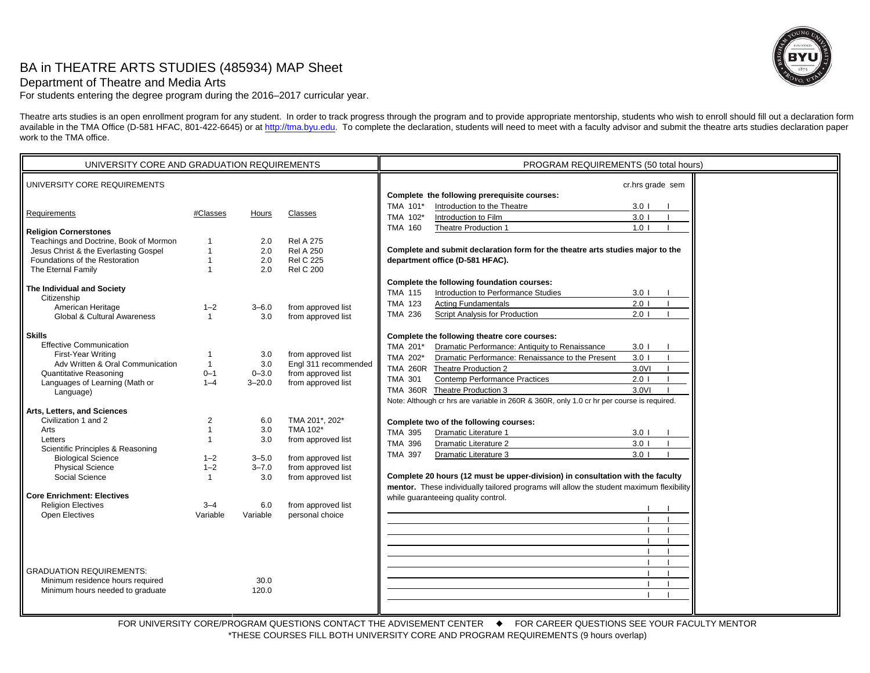# BA in THEATRE ARTS STUDIES (485934) MAP Sheet



# Department of Theatre and Media Arts

For students entering the degree program during the 2016–2017 curricular year.

Theatre arts studies is an open enrollment program for any student. In order to track progress through the program and to provide appropriate mentorship, students who wish to enroll should fill out a declaration form available in the TMA Office (D-581 HFAC, 801-422-6645) or at http://tma.byu.edu. To complete the declaration, students will need to meet with a faculty advisor and submit the theatre arts studies declaration paper work to the TMA office.

| UNIVERSITY CORE AND GRADUATION REQUIREMENTS |                |            |                      | PROGRAM REQUIREMENTS (50 total hours)                                                     |  |
|---------------------------------------------|----------------|------------|----------------------|-------------------------------------------------------------------------------------------|--|
| UNIVERSITY CORE REQUIREMENTS                |                |            |                      | cr.hrs grade sem                                                                          |  |
|                                             |                |            |                      | Complete the following prerequisite courses:                                              |  |
|                                             |                |            |                      | TMA 101*<br>3.0 <sub>1</sub><br>Introduction to the Theatre                               |  |
| Requirements                                | #Classes       | Hours      | Classes              | TMA 102*<br>Introduction to Film<br>3.0 <sub>1</sub>                                      |  |
|                                             |                |            |                      | Theatre Production 1<br>1.0 <sub>1</sub><br>TMA 160                                       |  |
| <b>Religion Cornerstones</b>                |                |            |                      |                                                                                           |  |
| Teachings and Doctrine, Book of Mormon      |                | 2.0        | <b>Rel A 275</b>     |                                                                                           |  |
| Jesus Christ & the Everlasting Gospel       |                | 2.0        | <b>Rel A 250</b>     | Complete and submit declaration form for the theatre arts studies major to the            |  |
| Foundations of the Restoration              | $\mathbf{1}$   | 2.0        | <b>Rel C 225</b>     | department office (D-581 HFAC).                                                           |  |
| The Eternal Family                          |                | 2.0        | <b>Rel C 200</b>     |                                                                                           |  |
|                                             |                |            |                      | Complete the following foundation courses:                                                |  |
| The Individual and Society                  |                |            |                      | Introduction to Performance Studies<br><b>TMA 115</b><br>3.0 <sub>1</sub>                 |  |
| Citizenship                                 |                |            |                      | $2.0$ l<br><b>TMA 123</b><br><b>Acting Fundamentals</b>                                   |  |
| American Heritage                           | $1 - 2$        | $3 - 6.0$  | from approved list   | $2.0$ l<br><b>TMA 236</b>                                                                 |  |
| <b>Global &amp; Cultural Awareness</b>      | $\mathbf{1}$   | 3.0        | from approved list   | Script Analysis for Production                                                            |  |
| <b>Skills</b>                               |                |            |                      | Complete the following theatre core courses:                                              |  |
| <b>Effective Communication</b>              |                |            |                      |                                                                                           |  |
| First-Year Writing                          | -1             | 3.0        | from approved list   | TMA 201*<br>Dramatic Performance: Antiquity to Renaissance<br>$3.0$ $\vert$               |  |
| Adv Written & Oral Communication            | $\overline{1}$ | 3.0        | Engl 311 recommended | TMA 202*<br>Dramatic Performance: Renaissance to the Present<br>3.0 <sub>1</sub>          |  |
| <b>Quantitative Reasoning</b>               | $0 - 1$        | $0 - 3.0$  | from approved list   | TMA 260R Theatre Production 2<br>3.0VI                                                    |  |
|                                             | $1 - 4$        | $3 - 20.0$ | from approved list   | $2.0$ l<br><b>TMA 301</b><br><b>Contemp Performance Practices</b>                         |  |
| Languages of Learning (Math or              |                |            |                      | 3.0VI<br>TMA 360R Theatre Production 3                                                    |  |
| Language)                                   |                |            |                      | Note: Although cr hrs are variable in 260R & 360R, only 1.0 cr hr per course is required. |  |
| Arts, Letters, and Sciences                 |                |            |                      |                                                                                           |  |
| Civilization 1 and 2                        | $\overline{2}$ | 6.0        | TMA 201*, 202*       | Complete two of the following courses:                                                    |  |
| Arts                                        | $\mathbf{1}$   | 3.0        | TMA 102*             |                                                                                           |  |
| Letters                                     | $\overline{1}$ | 3.0        | from approved list   | <b>TMA 395</b><br><b>Dramatic Literature 1</b><br>3.0 <sub>1</sub>                        |  |
| Scientific Principles & Reasoning           |                |            |                      | <b>TMA 396</b><br>3.0 <sub>1</sub><br>Dramatic Literature 2                               |  |
| <b>Biological Science</b>                   | $1 - 2$        | $3 - 5.0$  | from approved list   | <b>TMA 397</b><br>Dramatic Literature 3<br>3.0 <sub>1</sub>                               |  |
| <b>Physical Science</b>                     | $1 - 2$        | $3 - 7.0$  | from approved list   |                                                                                           |  |
| Social Science                              | $\mathbf{1}$   | 3.0        | from approved list   | Complete 20 hours (12 must be upper-division) in consultation with the faculty            |  |
|                                             |                |            |                      | mentor. These individually tailored programs will allow the student maximum flexibility   |  |
| <b>Core Enrichment: Electives</b>           |                |            |                      | while quaranteeing quality control.                                                       |  |
| <b>Religion Electives</b>                   | $3 - 4$        | 6.0        | from approved list   |                                                                                           |  |
| <b>Open Electives</b>                       | Variable       | Variable   | personal choice      |                                                                                           |  |
|                                             |                |            |                      |                                                                                           |  |
|                                             |                |            |                      |                                                                                           |  |
|                                             |                |            |                      |                                                                                           |  |
|                                             |                |            |                      |                                                                                           |  |
|                                             |                |            |                      |                                                                                           |  |
| <b>GRADUATION REQUIREMENTS:</b>             |                |            |                      |                                                                                           |  |
| Minimum residence hours required            |                | 30.0       |                      |                                                                                           |  |
| Minimum hours needed to graduate            |                | 120.0      |                      |                                                                                           |  |
|                                             |                |            |                      |                                                                                           |  |
|                                             |                |            |                      |                                                                                           |  |

FOR UNIVERSITY CORE/PROGRAM QUESTIONS CONTACT THE ADVISEMENT CENTER  $\quad \bullet \quad$  FOR CAREER QUESTIONS SEE YOUR FACULTY MENTOR \*THESE COURSES FILL BOTH UNIVERSITY CORE AND PROGRAM REQUIREMENTS (9 hours overlap)